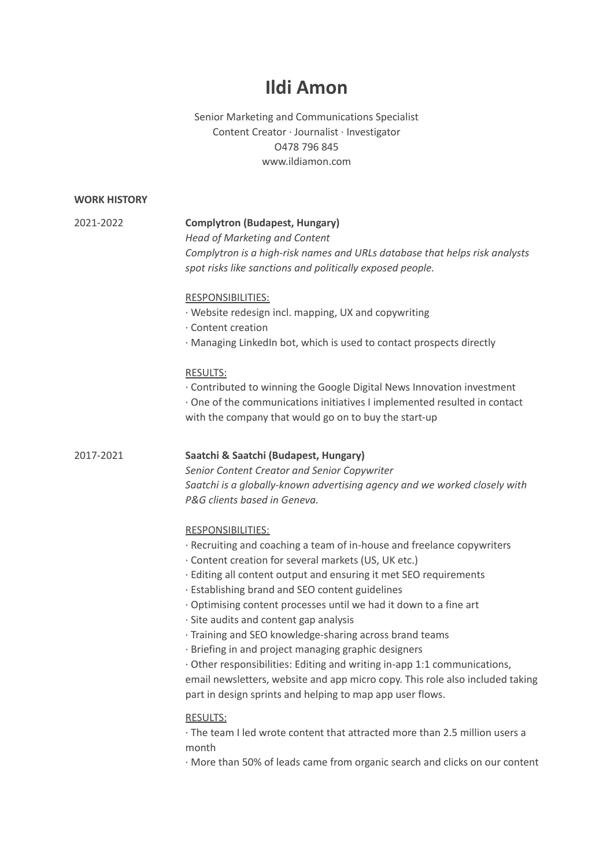# **Ildi Amon**

# Senior Marketing and Communications Specialist Content Creator ∙ Journalist ∙ Investigator O478 796 845 www.ildiamon.com

# **WORK HISTORY**

#### 2021-2022 **Complytron (Budapest, Hungary)**

*Head of Marketing and Content Complytron is a high-risk names and URLs database that helps risk analysts spot risks like sanctions and politically exposed people.*

#### RESPONSIBILITIES:

- ∙ Website redesign incl. mapping, UX and copywriting
- ∙ Content creation
- ∙ Managing LinkedIn bot, which is used to contact prospects directly

#### RESULTS:

∙ Contributed to winning the Google Digital News Innovation investment

∙ One of the communications initiatives I implemented resulted in contact with the company that would go on to buy the start-up

#### 2017-2021 **Saatchi & Saatchi (Budapest, Hungary)**

*Senior Content Creator and Senior Copywriter Saatchi is a globally-known advertising agency and we worked closely with P&G clients based in Geneva.*

#### RESPONSIBILITIES:

- ∙ Recruiting and coaching a team of in-house and freelance copywriters
- ∙ Content creation for several markets (US, UK etc.)
- ∙ Editing all content output and ensuring it met SEO requirements
- ∙ Establishing brand and SEO content guidelines
- ∙ Optimising content processes until we had it down to a fine art
- ∙ Site audits and content gap analysis
- ∙ Training and SEO knowledge-sharing across brand teams
- ∙ Briefing in and project managing graphic designers

∙ Other responsibilities: Editing and writing in-app 1:1 communications, email newsletters, website and app micro copy. This role also included taking part in design sprints and helping to map app user flows.

# RESULTS:

∙ The team I led wrote content that attracted more than 2.5 million users a month

∙ More than 50% of leads came from organic search and clicks on our content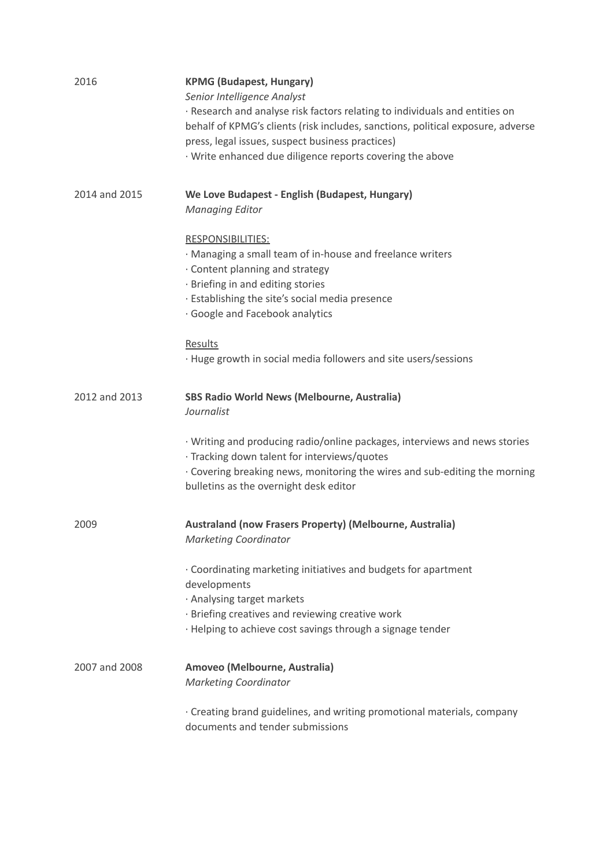| 2016          | <b>KPMG (Budapest, Hungary)</b><br>Senior Intelligence Analyst<br>· Research and analyse risk factors relating to individuals and entities on<br>behalf of KPMG's clients (risk includes, sanctions, political exposure, adverse<br>press, legal issues, suspect business practices)<br>· Write enhanced due diligence reports covering the above |
|---------------|---------------------------------------------------------------------------------------------------------------------------------------------------------------------------------------------------------------------------------------------------------------------------------------------------------------------------------------------------|
| 2014 and 2015 | We Love Budapest - English (Budapest, Hungary)<br><b>Managing Editor</b>                                                                                                                                                                                                                                                                          |
|               | <b>RESPONSIBILITIES:</b><br>· Managing a small team of in-house and freelance writers<br>· Content planning and strategy<br>· Briefing in and editing stories<br>· Establishing the site's social media presence<br>· Google and Facebook analytics                                                                                               |
|               | Results<br>· Huge growth in social media followers and site users/sessions                                                                                                                                                                                                                                                                        |
| 2012 and 2013 | <b>SBS Radio World News (Melbourne, Australia)</b><br>Journalist                                                                                                                                                                                                                                                                                  |
|               | · Writing and producing radio/online packages, interviews and news stories<br>· Tracking down talent for interviews/quotes<br>· Covering breaking news, monitoring the wires and sub-editing the morning<br>bulletins as the overnight desk editor                                                                                                |
| 2009          | <b>Australand (now Frasers Property) (Melbourne, Australia)</b><br><b>Marketing Coordinator</b>                                                                                                                                                                                                                                                   |
|               | . Coordinating marketing initiatives and budgets for apartment<br>developments<br>· Analysing target markets<br>· Briefing creatives and reviewing creative work<br>· Helping to achieve cost savings through a signage tender                                                                                                                    |
| 2007 and 2008 | Amoveo (Melbourne, Australia)<br><b>Marketing Coordinator</b>                                                                                                                                                                                                                                                                                     |
|               | · Creating brand guidelines, and writing promotional materials, company<br>documents and tender submissions                                                                                                                                                                                                                                       |